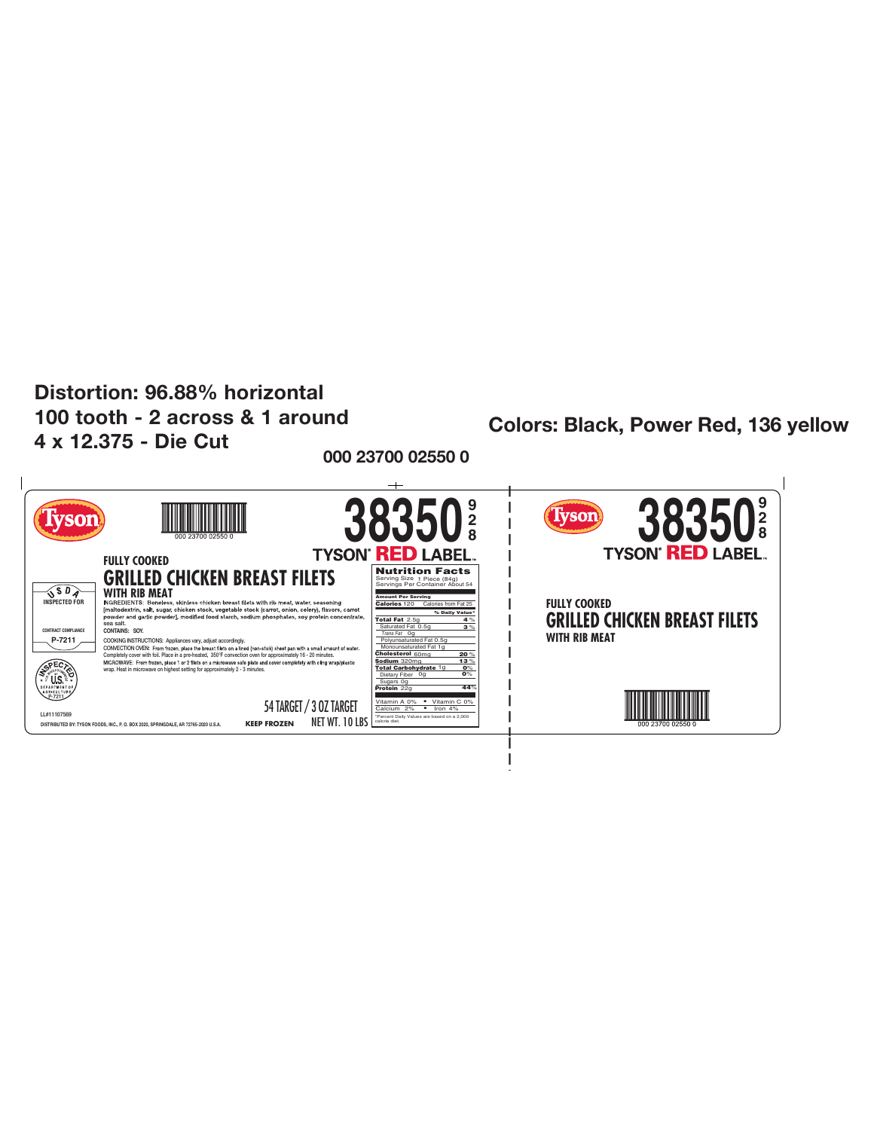## Distortion: 96.88% horizontal 100 tooth - 2 across & 1 around 4 x 12.375 - Die Cut

## **Colors: Black, Power Red, 136 yellow**

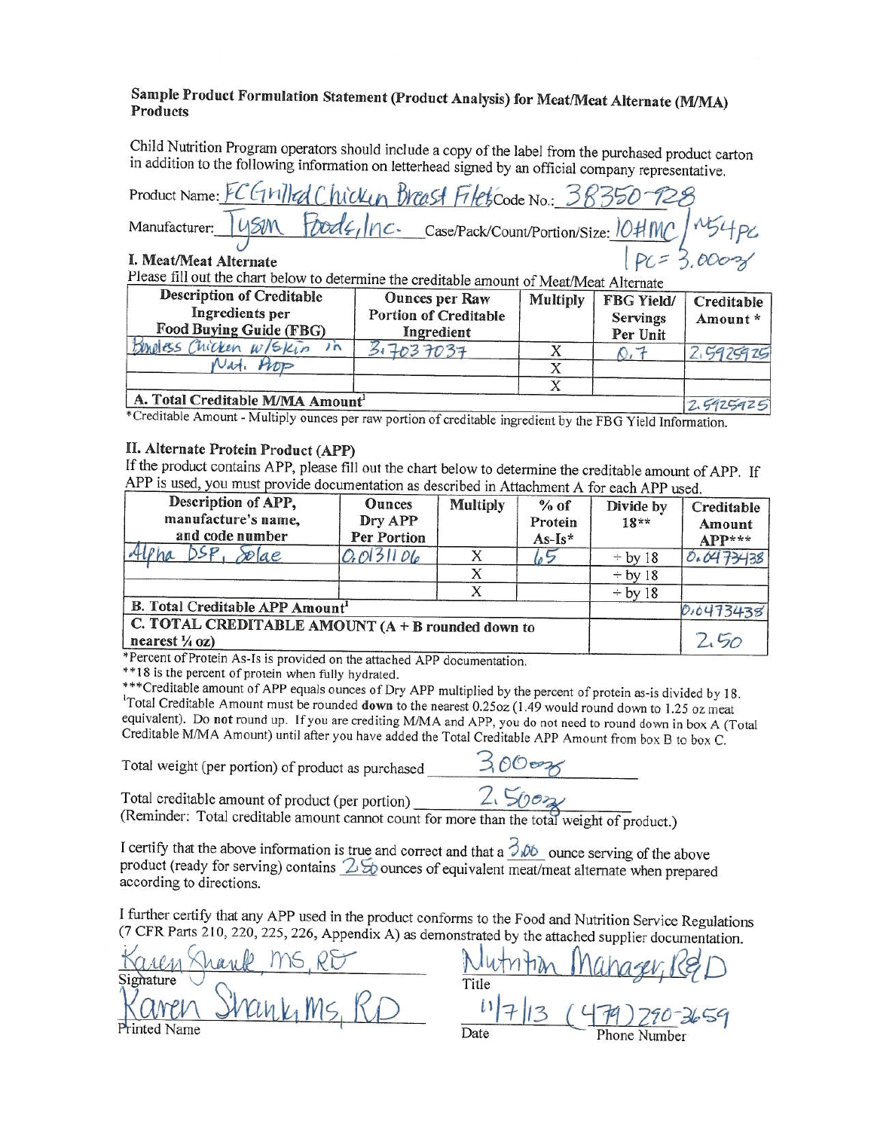

### sample Product Formulation Statement (Product Analysis) for Meat/Meat Alternate (M/MA) **Products**

Child Nutrition Program operators should include a copy of the label from the purchased product carton in addition to the following information on letterhead signed by an official company representative.

|                                                                     | Product Name: FC GMIled Chicken Breast Filets Code No.: 38350-128        |
|---------------------------------------------------------------------|--------------------------------------------------------------------------|
|                                                                     | Manufacturer: 145M Foods, Inc. case/Pack/Count/Portion/Size: 10#MC/M54PC |
| I. Meat/Meat Alternate<br>$DI_{2,2,2}$ , $C11$ , $I1$ , $I1$ , $I1$ | $PC = 3,0002$                                                            |

Please fill out the chart below to determine the creditable amount of Meat/Meat Alternate

| <b>Description of Creditable</b><br>Ingredients per<br>Food Buying Guide (FBG) | <b>Ounces per Raw</b><br><b>Portion of Creditable</b><br>Ingredient | <b>Multiply</b> | <b>FBG Yield/</b><br><b>Servings</b><br>Per Unit | Creditable<br>Amount* |
|--------------------------------------------------------------------------------|---------------------------------------------------------------------|-----------------|--------------------------------------------------|-----------------------|
| Buneless Chicken w/skin<br>$\sqrt{2}$                                          | 17037037                                                            |                 |                                                  | 2,5925925             |
| Nat.<br>ひつ                                                                     |                                                                     |                 |                                                  |                       |
|                                                                                |                                                                     |                 |                                                  |                       |
| A. Total Creditable M/MA Amount                                                |                                                                     |                 |                                                  | 2620007               |

 $47129129$ \*Creditable Amount - Multiply ounces per raw portion of creditable ingredient by the FBG Yield Information.

#### II. Alternate Protein Product (APP)

If the product contains APP, please fill out the chart below to determine the creditable amount of APP. If APP is used, you must provide documentation as described in Attachment A for each APP used.

| Description of APP,<br>manufacture's name,<br>and code number                  | <b>Ounces</b><br>Dry APP<br>Per Portion | <b>Multiply</b> | $%$ of<br>Protein<br>$As-Is*$ | Divide by<br>$18**$ | Creditable<br>Amount<br>APP*** |
|--------------------------------------------------------------------------------|-----------------------------------------|-----------------|-------------------------------|---------------------|--------------------------------|
| $\infty$ lae                                                                   | 0.0131106                               |                 | いつ                            | $\div$ by 18        | 0.0473438                      |
|                                                                                |                                         |                 |                               | $\div$ by 18        |                                |
|                                                                                |                                         |                 |                               | $\div$ by 18        |                                |
| B. Total Creditable APP Amount <sup>1</sup>                                    |                                         |                 |                               |                     | 0,0473438                      |
| C. TOTAL CREDITABLE AMOUNT (A + B rounded down to<br>nearest $\frac{1}{4}$ oz) |                                         | .50             |                               |                     |                                |

\*Percent of Protein As-Is is provided on the attached APP documentation.

\*\*18 is the percent of protein when fully hydrated.

\*\*\* Creditable amount of APP equals ounces of Dry APP multiplied by the percent of protein as-is divided by 18. <sup>1</sup>Total Creditable Amount must be rounded down to the nearest 0.25oz (1.49 would round down to 1.25 oz meat equivalent). Do not round up. If you are crediting M/MA and APP, you do not need to round down in box A (Total Creditable M/MA Amount) until after you have added the Total Creditable APP Amount from box B to box C.

Total weight (per portion) of product as purchased

I certify that the above information is true and correct and that a  $\frac{\partial}{\partial \phi}$  ounce serving of the above product (ready for serving) contains  $\frac{\partial}{\partial \phi}$  ounces of equivalent meat/meat alternate when prepared according to directions.

I further certify that any APP used in the product conforms to the Food and Nutrition Service Regulations (7 CFR Parts 210, 220, 225, 226, Appendix A) as demonstrated by the attached supplier documentation.

inted Name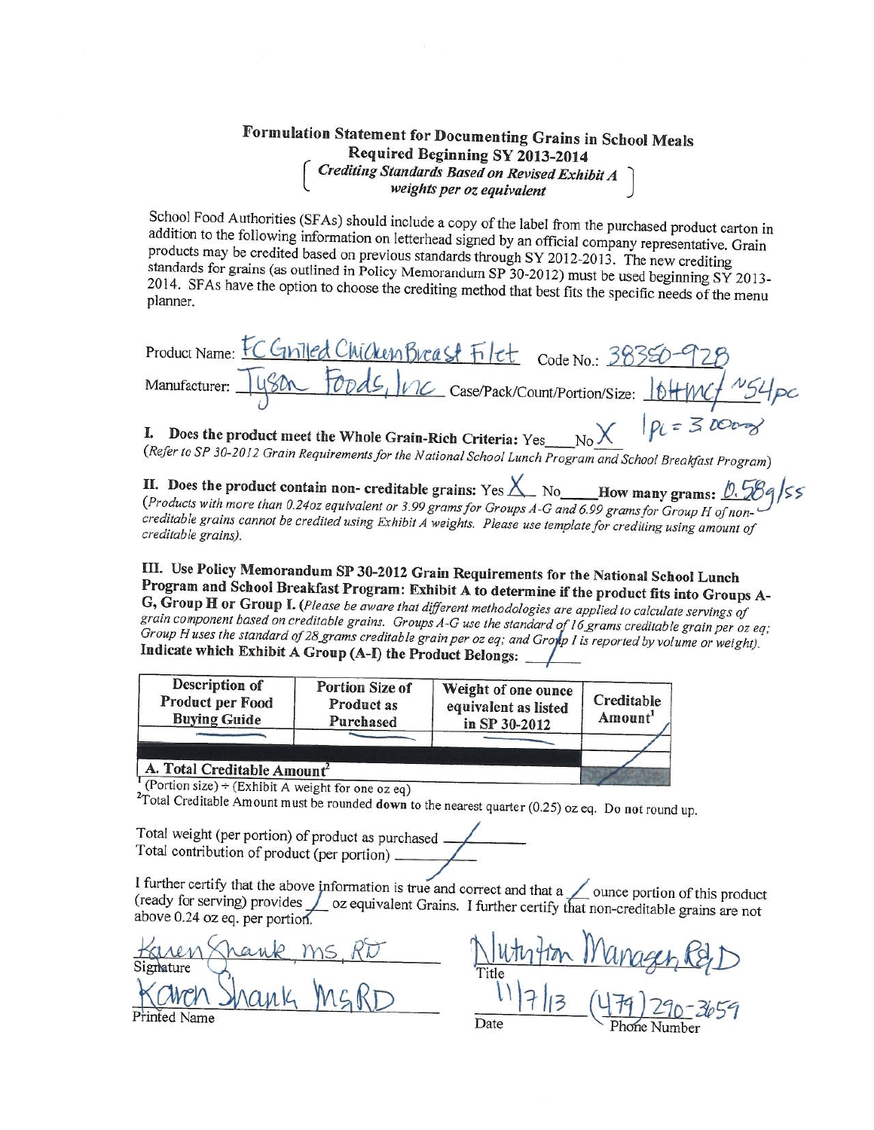

# Formulation Statement for Documenting Grains in School Meals Required Beginning SY 2013-2014 Crediting Standards Based on Revised Exhibit A<br>weights per oz equivalent

School Food Authorities (SFAs) should include a copy of the label from the purchased product carton in addition to the following information on letterhead signed by an official company representative. Grain products may be credited based on previous standards through SY 2012-2013. The new crediting standards for grains (as outlined in Policy Memorandum SP 30-2012) must be used beginning SY 2013-2014. SFAs have the option to choose the crediting method that best fits the specific needs of the menu planner.

Product Name: EC GIVILEd Chicken Breast Filet Code No.: 3839 Foods, 26 Case/Pack/Count/Portion/Size: 10HW Manufacturer:  $D1 = 3000$ 

I. Does the product meet the Whole Grain-Rich Criteria: Yes (Refer to SP 30-2012 Grain Requirements for the National School Lunch Program and School Breakfast Program)

II. Does the product contain non- creditable grains: Yes  $X$  No How many grams: 0.589/55 (Products with more than 0.24oz equivalent or 3.99 grams for Groups A-G and 6.99 grams for Group H of noncreditable grains cannot be credited using Exhibit A weights. Please use template for crediting using amount of creditable grains).

III. Use Policy Memorandum SP 30-2012 Grain Requirements for the National School Lunch Program and School Breakfast Program: Exhibit A to determine if the product fits into Groups A-G, Group H or Group I. (Please be aware that different methodologies are applied to calculate servings of grain component based on creditable grains. Groups A-G use the standard of 16 grams creditable grain per oz eq; Group H uses the standard of 28 grams creditable grain per oz eq; and Group I is reported by volume or weight). Indicate which Exhibit A Group (A-I) the Product Belongs:

| Description of<br>Product per Food<br><b>Buying Guide</b> | Portion Size of<br><b>Product as</b><br>Purchased | Weight of one ounce<br>equivalent as listed<br>in SP 30-2012 | Creditable<br>Amount <sup>1</sup> |
|-----------------------------------------------------------|---------------------------------------------------|--------------------------------------------------------------|-----------------------------------|
| A. Total Creditable Amount<br>$\sqrt{2}$                  |                                                   |                                                              |                                   |

(Portion size) ÷ (Exhibit A weight for one oz eq)

<sup>2</sup>Total Creditable Amount must be rounded down to the nearest quarter (0.25) oz eq. Do not round up.

Total weight (per portion) of product as purchased. Total contribution of product (per portion) \_

I further certify that the above information is true and correct and that  $a \angle$  ounce portion of this product (ready for serving) provides oz equivalent Grains. I further certify that non-creditable grains are not above 0.24 oz eq. per portion.

mature Printed Name

Date